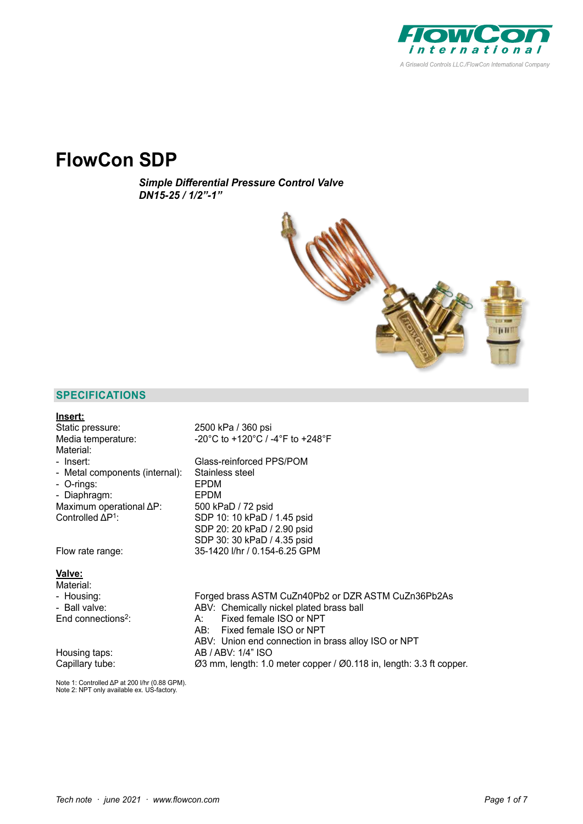

# **FlowCon SDP**

*Simple Differential Pressure Control Valve DN15-25 / 1/2"-1"*



# **SPECIFICATIONS**

| <u>Insert:</u>                   |                                                                     |
|----------------------------------|---------------------------------------------------------------------|
| Static pressure:                 | 2500 kPa / 360 psi                                                  |
| Media temperature:               | -20°C to +120°C / -4°F to +248°F                                    |
| Material:                        |                                                                     |
| - Insert:                        | Glass-reinforced PPS/POM                                            |
| - Metal components (internal):   | Stainless steel                                                     |
| - O-rings:                       | EPDM                                                                |
| - Diaphragm:                     | EPDM                                                                |
| Maximum operational $\Delta P$ : | 500 kPaD / 72 psid                                                  |
| Controlled $\Delta P^1$ :        | SDP 10: 10 kPaD / 1.45 psid                                         |
|                                  | SDP 20: 20 kPaD / 2.90 psid                                         |
|                                  | SDP 30: 30 kPaD / 4.35 psid                                         |
| Flow rate range:                 | 35-1420 I/hr / 0.154-6.25 GPM                                       |
| <u>Valve:</u>                    |                                                                     |
| Material:                        |                                                                     |
| - Housing:                       | Forged brass ASTM CuZn40Pb2 or DZR ASTM CuZn36Pb2As                 |
| - Ball valve:                    | ABV: Chemically nickel plated brass ball                            |
| End connections <sup>2</sup> :   | Fixed female ISO or NPT<br>A:                                       |
|                                  | Fixed female ISO or NPT<br>AB:                                      |
|                                  | ABV: Union end connection in brass alloy ISO or NPT                 |
| Housing taps:                    | AB / ABV: 1/4" ISO                                                  |
| Capillary tube:                  | Ø3 mm, length: 1.0 meter copper / Ø0.118 in, length: 3.3 ft copper. |

Note 1: Controlled ΔP at 200 l/hr (0.88 GPM). Note 2: NPT only available ex. US-factory.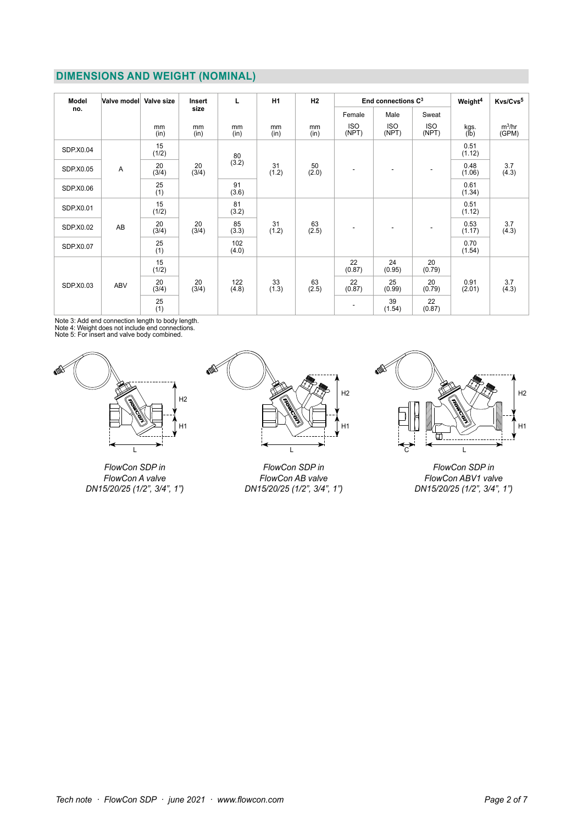# **DIMENSIONS AND WEIGHT (NOMINAL)**

| Model     | Valve model | Valve size  | Insert      | L            | <b>H1</b><br>H2 |             | End connections $C^3$    |                     |                     | Weight <sup>4</sup> | Kvs/Cvs <sup>5</sup> |
|-----------|-------------|-------------|-------------|--------------|-----------------|-------------|--------------------------|---------------------|---------------------|---------------------|----------------------|
| no.       |             |             | size        |              |                 | Female      | Male                     | Sweat               |                     |                     |                      |
|           |             | mm<br>(in)  | mm<br>(in)  | mm<br>(in)   | mm<br>(in)      | mm<br>(in)  | <b>ISO</b><br>(NPT)      | <b>ISO</b><br>(NPT) | <b>ISO</b><br>(NPT) | kgs.<br>(lb)        | $m^3/hr$<br>(GPM)    |
| SDP.X0.04 |             | 15<br>(1/2) |             | 80           | 31<br>(1.2)     | 50<br>(2.0) | ٠                        |                     | ۰                   | 0.51<br>(1.12)      | 3.7<br>(4.3)         |
| SDP.X0.05 | Α           | 20<br>(3/4) | 20<br>(3/4) | (3.2)        |                 |             |                          |                     |                     | 0.48<br>(1.06)      |                      |
| SDP.X0.06 |             | 25<br>(1)   |             | 91<br>(3.6)  |                 |             |                          |                     |                     | 0.61<br>(1.34)      |                      |
| SDP.X0.01 |             | 15<br>(1/2) |             | 81<br>(3.2)  |                 | 63<br>(2.5) | ٠                        |                     | ٠                   | 0.51<br>(1.12)      | 3.7<br>(4.3)         |
| SDP.X0.02 | AB          | 20<br>(3/4) | 20<br>(3/4) | 85<br>(3.3)  | 31<br>(1.2)     |             |                          |                     |                     | 0.53<br>(1.17)      |                      |
| SDP.X0.07 |             | 25<br>(1)   |             | 102<br>(4.0) |                 |             |                          |                     |                     | 0.70<br>(1.54)      |                      |
| SDP.X0.03 | <b>ABV</b>  | 15<br>(1/2) |             |              | 33<br>(1.3)     |             | 22<br>(0.87)             | 24<br>(0.95)        | 20<br>(0.79)        |                     |                      |
|           |             | 20<br>(3/4) | 20<br>(3/4) | 122<br>(4.8) |                 | 63<br>(2.5) | 22<br>(0.87)             | 25<br>(0.99)        | 20<br>(0.79)        | 0.91<br>(2.01)      | 3.7<br>(4.3)         |
|           |             | 25<br>(1)   |             |              |                 |             | $\overline{\phantom{a}}$ | 39<br>(1.54)        | 22<br>(0.87)        |                     |                      |

Note 3: Add end connection length to body length. Note 4: Weight does not include end connections. Note 5: For insert and valve body combined.



*FlowCon SDP in FlowCon A valve DN15/20/25 (1/2", 3/4", 1")*



*FlowCon SDP in FlowCon AB valve DN15/20/25 (1/2", 3/4", 1")* 



*FlowCon SDP in FlowCon ABV1 valve DN15/20/25 (1/2", 3/4", 1")*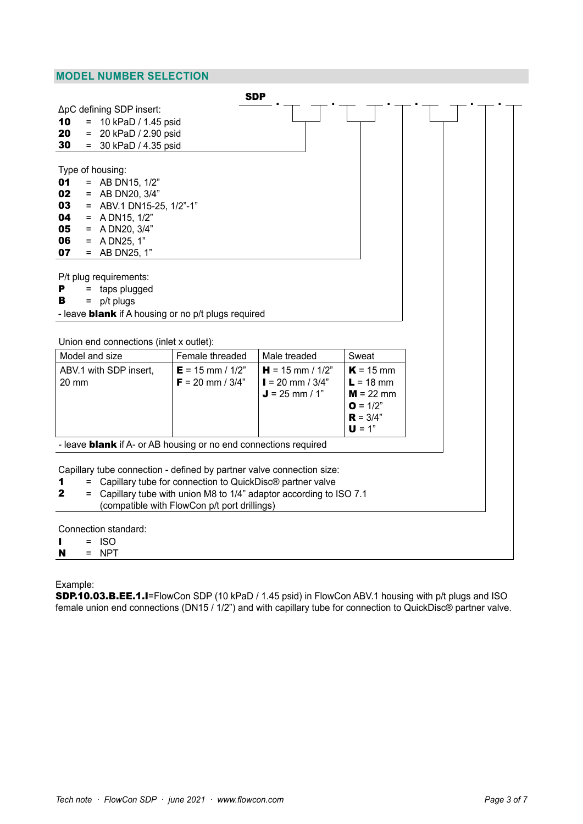## **MODEL NUMBER SELECTION**

|       |     |                                         |                                                                         | <b>SDP</b>                                                            |             |  |
|-------|-----|-----------------------------------------|-------------------------------------------------------------------------|-----------------------------------------------------------------------|-------------|--|
|       |     | ΔpC defining SDP insert:                |                                                                         |                                                                       |             |  |
| 10    |     | $= 10$ kPaD / 1.45 psid                 |                                                                         |                                                                       |             |  |
| 20    | $=$ | 20 kPaD / 2.90 psid                     |                                                                         |                                                                       |             |  |
| 30    |     | $= 30$ kPaD / 4.35 psid                 |                                                                         |                                                                       |             |  |
|       |     |                                         |                                                                         |                                                                       |             |  |
|       |     | Type of housing:                        |                                                                         |                                                                       |             |  |
| 01    |     | = AB DN15, $1/2$ "                      |                                                                         |                                                                       |             |  |
| 02    |     | $=$ AB DN20, 3/4"                       |                                                                         |                                                                       |             |  |
| 03    |     | $=$ ABV.1 DN15-25, 1/2"-1"              |                                                                         |                                                                       |             |  |
| 04    |     | $=$ A DN15, 1/2"                        |                                                                         |                                                                       |             |  |
| 05    |     | $=$ A DN20, 3/4"                        |                                                                         |                                                                       |             |  |
| 06    |     | $=$ A DN25, 1"                          |                                                                         |                                                                       |             |  |
| 07    |     | $=$ AB DN25, 1"                         |                                                                         |                                                                       |             |  |
|       |     |                                         |                                                                         |                                                                       |             |  |
|       |     | P/t plug requirements:                  |                                                                         |                                                                       |             |  |
| Р     |     | $=$ taps plugged                        |                                                                         |                                                                       |             |  |
| в     | $=$ | p/t plugs                               |                                                                         |                                                                       |             |  |
|       |     |                                         | - leave <b>blank</b> if A housing or no p/t plugs required              |                                                                       |             |  |
|       |     |                                         |                                                                         |                                                                       |             |  |
|       |     | Union end connections (inlet x outlet): |                                                                         |                                                                       |             |  |
|       |     |                                         |                                                                         |                                                                       |             |  |
|       |     |                                         |                                                                         |                                                                       |             |  |
|       |     | Model and size                          | Female threaded                                                         | Male treaded                                                          | Sweat       |  |
|       |     | ABV.1 with SDP insert,                  | $E = 15$ mm / $1/2$ "                                                   | $H = 15$ mm / $1/2"$                                                  | $K = 15$ mm |  |
| 20 mm |     |                                         | $F = 20$ mm / 3/4"                                                      | $I = 20$ mm / 3/4"                                                    | $L = 18$ mm |  |
|       |     |                                         |                                                                         | $J = 25$ mm / 1"                                                      | $M = 22$ mm |  |
|       |     |                                         |                                                                         |                                                                       | $Q = 1/2"$  |  |
|       |     |                                         |                                                                         |                                                                       | $R = 3/4"$  |  |
|       |     |                                         |                                                                         |                                                                       | $U = 1"$    |  |
|       |     |                                         | - leave <b>blank</b> if A- or AB housing or no end connections required |                                                                       |             |  |
|       |     |                                         |                                                                         |                                                                       |             |  |
|       |     |                                         |                                                                         | Capillary tube connection - defined by partner valve connection size: |             |  |
| 1     | $=$ |                                         | Capillary tube for connection to QuickDisc® partner valve               |                                                                       |             |  |
| 2     | $=$ |                                         |                                                                         | Capillary tube with union M8 to 1/4" adaptor according to ISO 7.1     |             |  |
|       |     |                                         | (compatible with FlowCon p/t port drillings)                            |                                                                       |             |  |
|       |     |                                         |                                                                         |                                                                       |             |  |
|       | $=$ | Connection standard:                    |                                                                         |                                                                       |             |  |
| N     | $=$ | <b>ISO</b><br><b>NPT</b>                |                                                                         |                                                                       |             |  |

Example:

SDP.10.03.B.EE.1.I=FlowCon SDP (10 kPaD / 1.45 psid) in FlowCon ABV.1 housing with p/t plugs and ISO female union end connections (DN15 / 1/2") and with capillary tube for connection to QuickDisc® partner valve.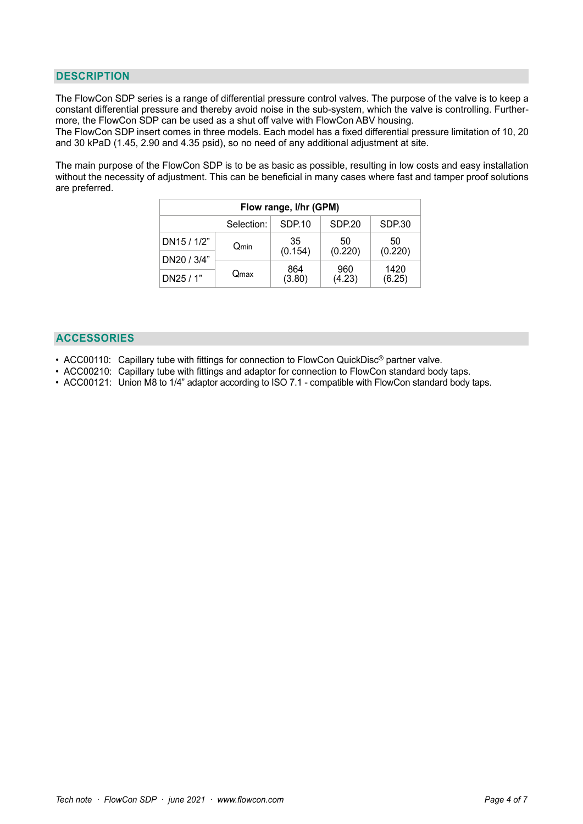### **DESCRIPTION**

The FlowCon SDP series is a range of differential pressure control valves. The purpose of the valve is to keep a constant differential pressure and thereby avoid noise in the sub-system, which the valve is controlling. Furthermore, the FlowCon SDP can be used as a shut off valve with FlowCon ABV housing.

The FlowCon SDP insert comes in three models. Each model has a fixed differential pressure limitation of 10, 20 and 30 kPaD (1.45, 2.90 and 4.35 psid), so no need of any additional adjustment at site.

The main purpose of the FlowCon SDP is to be as basic as possible, resulting in low costs and easy installation without the necessity of adjustment. This can be beneficial in many cases where fast and tamper proof solutions are preferred.

| Flow range, I/hr (GPM) |            |               |               |                |  |  |  |  |
|------------------------|------------|---------------|---------------|----------------|--|--|--|--|
|                        | Selection: | SDP.10        | SDP.20        | SDP.30         |  |  |  |  |
| DN15 / 1/2"            | Qmin       | 35<br>(0.154) | 50<br>(0.220) | 50<br>(0.220)  |  |  |  |  |
| DN20 / 3/4"            |            |               |               |                |  |  |  |  |
| DN25 / 1"              | Qmax       | 864<br>(3.80) | 960<br>(4.23) | 1420<br>(6.25) |  |  |  |  |

#### **ACCESSORIES**

- ACC00110: Capillary tube with fittings for connection to FlowCon QuickDisc® partner valve.
- ACC00210: Capillary tube with fittings and adaptor for connection to FlowCon standard body taps.
- ACC00121: Union M8 to 1/4" adaptor according to ISO 7.1 compatible with FlowCon standard body taps.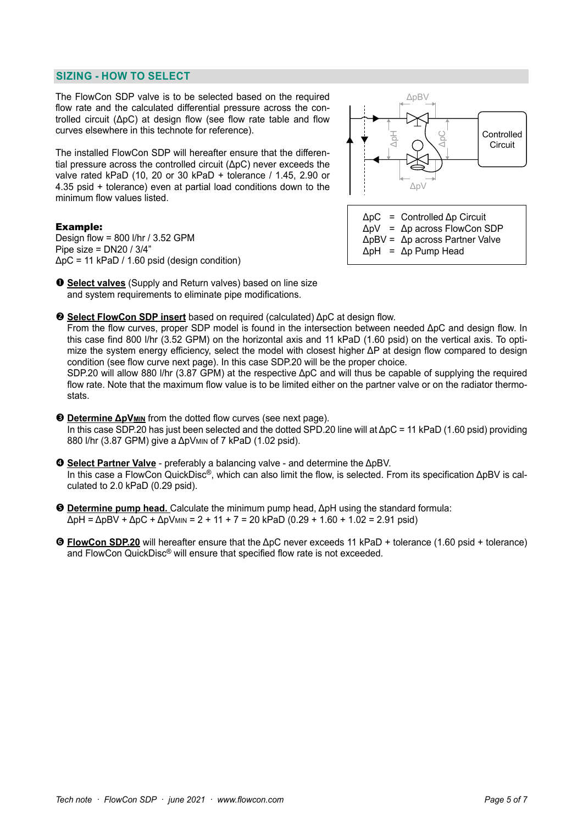#### **SIZING - HOW TO SELECT**

The FlowCon SDP valve is to be selected based on the required flow rate and the calculated differential pressure across the controlled circuit (ΔpC) at design flow (see flow rate table and flow curves elsewhere in this technote for reference).

The installed FlowCon SDP will hereafter ensure that the differential pressure across the controlled circuit (ΔpC) never exceeds the valve rated kPaD (10, 20 or 30 kPaD + tolerance / 1.45, 2.90 or 4.35 psid + tolerance) even at partial load conditions down to the minimum flow values listed.

#### Example:

Design flow = 800 l/hr / 3.52 GPM Pipe size = DN20 / 3/4"  $\Delta pC = 11$  kPaD / 1.60 psid (design condition)



- **Select valves** (Supply and Return valves) based on line size and system requirements to eliminate pipe modifications.
- **Select FlowCon SDP insert** based on required (calculated) ΔpC at design flow.

From the flow curves, proper SDP model is found in the intersection between needed ΔpC and design flow. In this case find 800 l/hr (3.52 GPM) on the horizontal axis and 11 kPaD (1.60 psid) on the vertical axis. To optimize the system energy efficiency, select the model with closest higher ΔP at design flow compared to design condition (see flow curve next page). In this case SDP.20 will be the proper choice.

SDP.20 will allow 880 l/hr (3.87 GPM) at the respective ΔpC and will thus be capable of supplying the required flow rate. Note that the maximum flow value is to be limited either on the partner valve or on the radiator thermostats.

 **Determine ΔpVMIN** from the dotted flow curves (see next page). In this case SDP.20 has just been selected and the dotted SPD.20 line will at ΔpC = 11 kPaD (1.60 psid) providing 880 l/hr (3.87 GPM) give a ΔpV<sub>MIN</sub> of 7 kPaD (1.02 psid).

 **Select Partner Valve** - preferably a balancing valve - and determine the ΔpBV. In this case a FlowCon QuickDisc®, which can also limit the flow, is selected. From its specification ΔpBV is calculated to 2.0 kPaD (0.29 psid).

 **Determine pump head.** Calculate the minimum pump head, ΔpH using the standard formula:  $ΔpH = ΔpBV + ΔpC + ΔpV$ MIN = 2 + 11 + 7 = 20 kPaD (0.29 + 1.60 + 1.02 = 2.91 psid)

 **FlowCon SDP.20** will hereafter ensure that the ΔpC never exceeds 11 kPaD + tolerance (1.60 psid + tolerance) and FlowCon QuickDisc® will ensure that specified flow rate is not exceeded.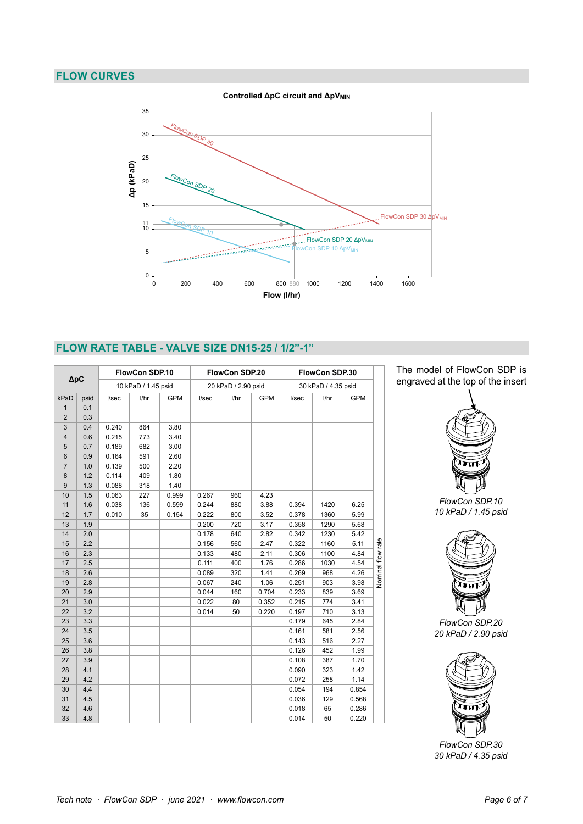## **FLOW CURVES**



### **FLOW RATE TABLE - VALVE SIZE DN15-25 / 1/2"-1"**

| $\Delta pC$    |      | FlowCon SDP.10      |      |            | FlowCon SDP.20<br>20 kPaD / 2.90 psid |      |            | FlowCon SDP.30<br>30 kPaD / 4.35 psid |      |            |                   |
|----------------|------|---------------------|------|------------|---------------------------------------|------|------------|---------------------------------------|------|------------|-------------------|
|                |      | 10 kPaD / 1.45 psid |      |            |                                       |      |            |                                       |      |            |                   |
| kPaD           | psid | I/sec               | l/hr | <b>GPM</b> | I/sec                                 | l/hr | <b>GPM</b> | I/sec                                 | l/hr | <b>GPM</b> |                   |
| $\mathbf{1}$   | 0.1  |                     |      |            |                                       |      |            |                                       |      |            |                   |
| $\overline{2}$ | 0.3  |                     |      |            |                                       |      |            |                                       |      |            |                   |
| 3              | 0.4  | 0.240               | 864  | 3.80       |                                       |      |            |                                       |      |            |                   |
| $\overline{4}$ | 0.6  | 0.215               | 773  | 3.40       |                                       |      |            |                                       |      |            |                   |
| 5              | 0.7  | 0.189               | 682  | 3.00       |                                       |      |            |                                       |      |            |                   |
| $6\phantom{1}$ | 0.9  | 0.164               | 591  | 2.60       |                                       |      |            |                                       |      |            |                   |
| $\overline{7}$ | 1.0  | 0.139               | 500  | 2.20       |                                       |      |            |                                       |      |            |                   |
| 8              | 1.2  | 0.114               | 409  | 1.80       |                                       |      |            |                                       |      |            |                   |
| 9              | 1.3  | 0.088               | 318  | 1.40       |                                       |      |            |                                       |      |            |                   |
| 10             | 1.5  | 0.063               | 227  | 0.999      | 0.267                                 | 960  | 4.23       |                                       |      |            |                   |
| 11             | 1.6  | 0.038               | 136  | 0.599      | 0.244                                 | 880  | 3.88       | 0.394                                 | 1420 | 6.25       |                   |
| 12             | 1.7  | 0.010               | 35   | 0.154      | 0.222                                 | 800  | 3.52       | 0.378                                 | 1360 | 5.99       |                   |
| 13             | 1.9  |                     |      |            | 0.200                                 | 720  | 3.17       | 0.358                                 | 1290 | 5.68       |                   |
| 14             | 2.0  |                     |      |            | 0.178                                 | 640  | 2.82       | 0.342                                 | 1230 | 5.42       |                   |
| 15             | 2.2  |                     |      |            | 0.156                                 | 560  | 2.47       | 0.322                                 | 1160 | 5.11       |                   |
| 16             | 2.3  |                     |      |            | 0.133                                 | 480  | 2.11       | 0.306                                 | 1100 | 4.84       |                   |
| 17             | 2.5  |                     |      |            | 0.111                                 | 400  | 1.76       | 0.286                                 | 1030 | 4.54       | Nominal flow rate |
| 18             | 2.6  |                     |      |            | 0.089                                 | 320  | 1.41       | 0.269                                 | 968  | 4.26       |                   |
| 19             | 2.8  |                     |      |            | 0.067                                 | 240  | 1.06       | 0.251                                 | 903  | 3.98       |                   |
| 20             | 2.9  |                     |      |            | 0.044                                 | 160  | 0.704      | 0.233                                 | 839  | 3.69       |                   |
| 21             | 3.0  |                     |      |            | 0.022                                 | 80   | 0.352      | 0.215                                 | 774  | 3.41       |                   |
| 22             | 3.2  |                     |      |            | 0.014                                 | 50   | 0.220      | 0.197                                 | 710  | 3.13       |                   |
| 23             | 3.3  |                     |      |            |                                       |      |            | 0.179                                 | 645  | 2.84       |                   |
| 24             | 3.5  |                     |      |            |                                       |      |            | 0.161                                 | 581  | 2.56       |                   |
| 25             | 3.6  |                     |      |            |                                       |      |            | 0.143                                 | 516  | 2.27       |                   |
| 26             | 3.8  |                     |      |            |                                       |      |            | 0.126                                 | 452  | 1.99       |                   |
| 27             | 3.9  |                     |      |            |                                       |      |            | 0.108                                 | 387  | 1.70       |                   |
| 28             | 4.1  |                     |      |            |                                       |      |            | 0.090                                 | 323  | 1.42       |                   |
| 29             | 4.2  |                     |      |            |                                       |      |            | 0.072                                 | 258  | 1.14       |                   |
| 30             | 4.4  |                     |      |            |                                       |      |            | 0.054                                 | 194  | 0.854      |                   |
| 31             | 4.5  |                     |      |            |                                       |      |            | 0.036                                 | 129  | 0.568      |                   |
| 32             | 4.6  |                     |      |            |                                       |      |            | 0.018                                 | 65   | 0.286      |                   |
| 33             | 4.8  |                     |      |            |                                       |      |            | 0.014                                 | 50   | 0.220      |                   |





*FlowCon SDP.10 10 kPaD / 1.45 psid*



*FlowCon SDP.20 20 kPaD / 2.90 psid*



*FlowCon SDP.30 30 kPaD / 4.35 psid*